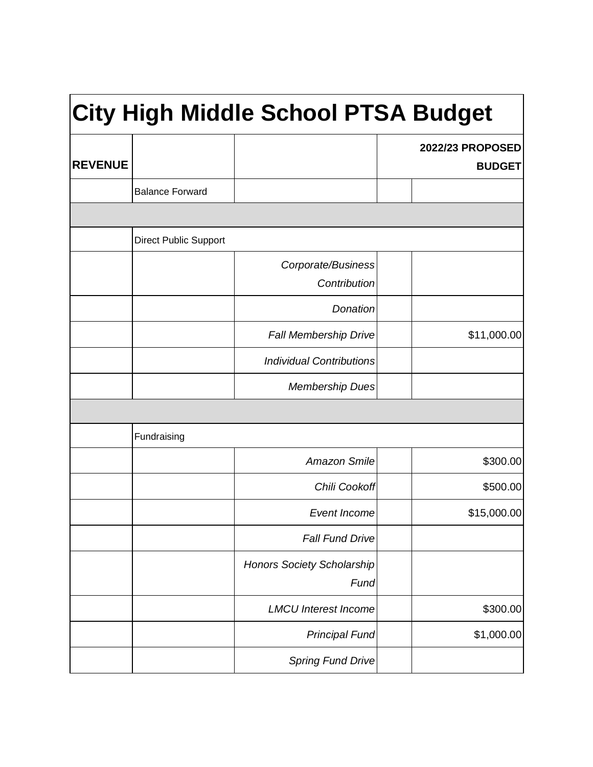| <b>City High Middle School PTSA Budget</b> |                              |                                           |                                   |
|--------------------------------------------|------------------------------|-------------------------------------------|-----------------------------------|
| <b>REVENUE</b>                             |                              |                                           | 2022/23 PROPOSED<br><b>BUDGET</b> |
|                                            | <b>Balance Forward</b>       |                                           |                                   |
|                                            |                              |                                           |                                   |
|                                            | <b>Direct Public Support</b> |                                           |                                   |
|                                            |                              | Corporate/Business<br>Contribution        |                                   |
|                                            |                              | Donation                                  |                                   |
|                                            |                              | <b>Fall Membership Drive</b>              | \$11,000.00                       |
|                                            |                              | <b>Individual Contributions</b>           |                                   |
|                                            |                              | <b>Membership Dues</b>                    |                                   |
|                                            |                              |                                           |                                   |
|                                            | Fundraising                  |                                           |                                   |
|                                            |                              | <b>Amazon Smile</b>                       | \$300.00                          |
|                                            |                              | Chili Cookoff                             | \$500.00                          |
|                                            |                              | Event Income                              | \$15,000.00                       |
|                                            |                              | <b>Fall Fund Drive</b>                    |                                   |
|                                            |                              | <b>Honors Society Scholarship</b><br>Fund |                                   |
|                                            |                              | <b>LMCU Interest Income</b>               | \$300.00                          |
|                                            |                              | <b>Principal Fund</b>                     | \$1,000.00                        |
|                                            |                              | <b>Spring Fund Drive</b>                  |                                   |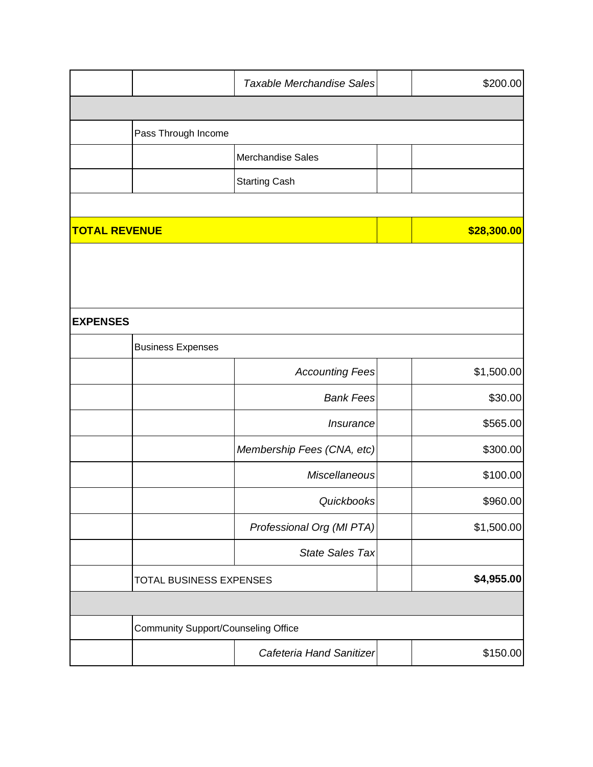| <b>Taxable Merchandise Sales</b>           |  | \$200.00    |
|--------------------------------------------|--|-------------|
|                                            |  |             |
|                                            |  |             |
| Merchandise Sales                          |  |             |
| <b>Starting Cash</b>                       |  |             |
|                                            |  |             |
|                                            |  | \$28,300.00 |
|                                            |  |             |
|                                            |  |             |
|                                            |  |             |
|                                            |  |             |
|                                            |  |             |
| <b>Accounting Fees</b>                     |  | \$1,500.00  |
| <b>Bank Fees</b>                           |  | \$30.00     |
| Insurance                                  |  | \$565.00    |
| Membership Fees (CNA, etc)                 |  | \$300.00    |
| Miscellaneous                              |  | \$100.00    |
| Quickbooks                                 |  | \$960.00    |
| Professional Org (MI PTA)                  |  | \$1,500.00  |
| State Sales Tax                            |  |             |
| <b>TOTAL BUSINESS EXPENSES</b>             |  | \$4,955.00  |
|                                            |  |             |
| <b>Community Support/Counseling Office</b> |  |             |
|                                            |  |             |
|                                            |  |             |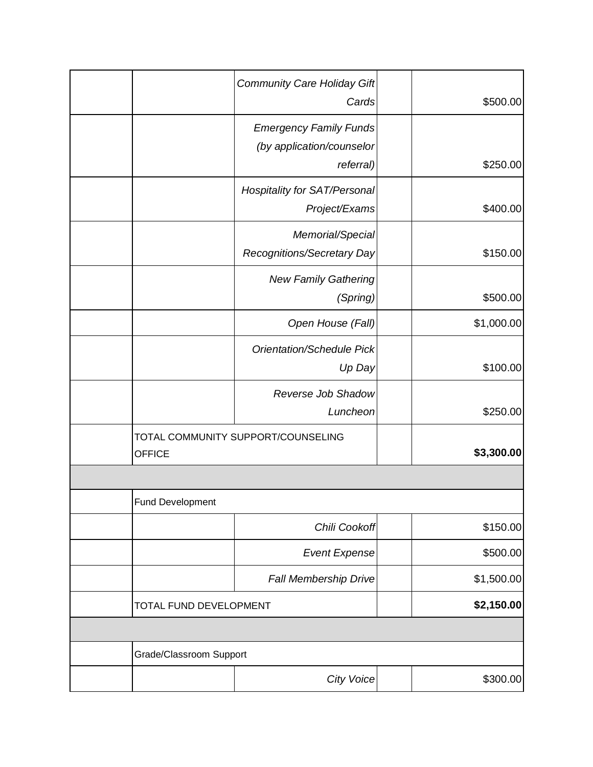|                         | <b>Community Care Holiday Gift</b><br>Cards                             | \$500.00   |
|-------------------------|-------------------------------------------------------------------------|------------|
|                         | <b>Emergency Family Funds</b><br>(by application/counselor<br>referral) | \$250.00   |
|                         | <b>Hospitality for SAT/Personal</b>                                     |            |
|                         | Project/Exams                                                           | \$400.00   |
|                         | Memorial/Special<br>Recognitions/Secretary Day                          | \$150.00   |
|                         | <b>New Family Gathering</b><br>(Spring)                                 | \$500.00   |
|                         | Open House (Fall)                                                       | \$1,000.00 |
|                         | Orientation/Schedule Pick<br>Up Day                                     | \$100.00   |
|                         | Reverse Job Shadow<br>Luncheon                                          | \$250.00   |
| <b>OFFICE</b>           | TOTAL COMMUNITY SUPPORT/COUNSELING                                      | \$3,300.00 |
|                         |                                                                         |            |
| <b>Fund Development</b> |                                                                         |            |
|                         | Chili Cookoff                                                           | \$150.00   |
|                         | <b>Event Expense</b>                                                    | \$500.00   |
|                         | Fall Membership Drive                                                   | \$1,500.00 |
| TOTAL FUND DEVELOPMENT  |                                                                         | \$2,150.00 |
|                         |                                                                         |            |
| Grade/Classroom Support |                                                                         |            |
|                         | <b>City Voice</b>                                                       | \$300.00   |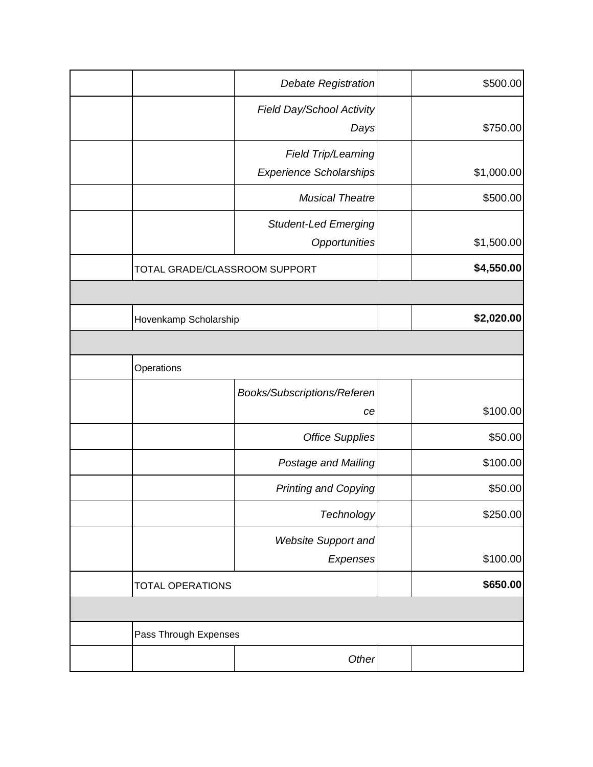|                               | <b>Debate Registration</b>       |  | \$500.00   |
|-------------------------------|----------------------------------|--|------------|
|                               | <b>Field Day/School Activity</b> |  |            |
|                               | Days                             |  | \$750.00   |
|                               | Field Trip/Learning              |  |            |
|                               | <b>Experience Scholarships</b>   |  | \$1,000.00 |
|                               | <b>Musical Theatre</b>           |  | \$500.00   |
|                               | <b>Student-Led Emerging</b>      |  |            |
|                               | Opportunities                    |  | \$1,500.00 |
| TOTAL GRADE/CLASSROOM SUPPORT |                                  |  | \$4,550.00 |
|                               |                                  |  |            |
| Hovenkamp Scholarship         |                                  |  | \$2,020.00 |
|                               |                                  |  |            |
| Operations                    |                                  |  |            |
|                               | Books/Subscriptions/Referen      |  |            |
|                               | ce                               |  | \$100.00   |
|                               | <b>Office Supplies</b>           |  | \$50.00    |
|                               | Postage and Mailing              |  | \$100.00   |
|                               | <b>Printing and Copying</b>      |  | \$50.00    |
|                               | Technology                       |  | \$250.00   |
|                               | <b>Website Support and</b>       |  |            |
|                               | Expenses                         |  | \$100.00   |
| <b>TOTAL OPERATIONS</b>       |                                  |  | \$650.00   |
|                               |                                  |  |            |
| Pass Through Expenses         |                                  |  |            |
|                               | Other                            |  |            |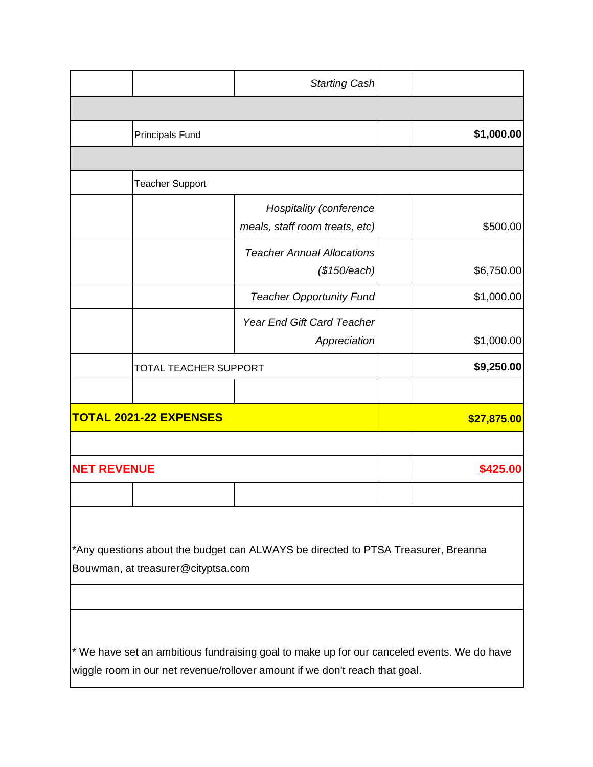|                                              |                                    | <b>Starting Cash</b>                                                                                                                                                      |          |            |
|----------------------------------------------|------------------------------------|---------------------------------------------------------------------------------------------------------------------------------------------------------------------------|----------|------------|
|                                              |                                    |                                                                                                                                                                           |          |            |
|                                              | <b>Principals Fund</b>             |                                                                                                                                                                           |          | \$1,000.00 |
|                                              |                                    |                                                                                                                                                                           |          |            |
|                                              | <b>Teacher Support</b>             |                                                                                                                                                                           |          |            |
|                                              |                                    | <b>Hospitality (conference</b><br>meals, staff room treats, etc)                                                                                                          |          | \$500.00   |
|                                              |                                    | <b>Teacher Annual Allocations</b><br>(\$150/each)                                                                                                                         |          | \$6,750.00 |
|                                              |                                    | <b>Teacher Opportunity Fund</b>                                                                                                                                           |          | \$1,000.00 |
|                                              |                                    | <b>Year End Gift Card Teacher</b><br>Appreciation                                                                                                                         |          | \$1,000.00 |
|                                              | <b>TOTAL TEACHER SUPPORT</b>       |                                                                                                                                                                           |          | \$9,250.00 |
|                                              |                                    |                                                                                                                                                                           |          |            |
| <b>TOTAL 2021-22 EXPENSES</b><br>\$27,875.00 |                                    |                                                                                                                                                                           |          |            |
|                                              |                                    |                                                                                                                                                                           |          |            |
| <b>NET REVENUE</b>                           |                                    |                                                                                                                                                                           | \$425.00 |            |
|                                              |                                    |                                                                                                                                                                           |          |            |
|                                              | Bouwman, at treasurer@cityptsa.com | *Any questions about the budget can ALWAYS be directed to PTSA Treasurer, Breanna                                                                                         |          |            |
|                                              |                                    | * We have set an ambitious fundraising goal to make up for our canceled events. We do have<br>wiggle room in our net revenue/rollover amount if we don't reach that goal. |          |            |